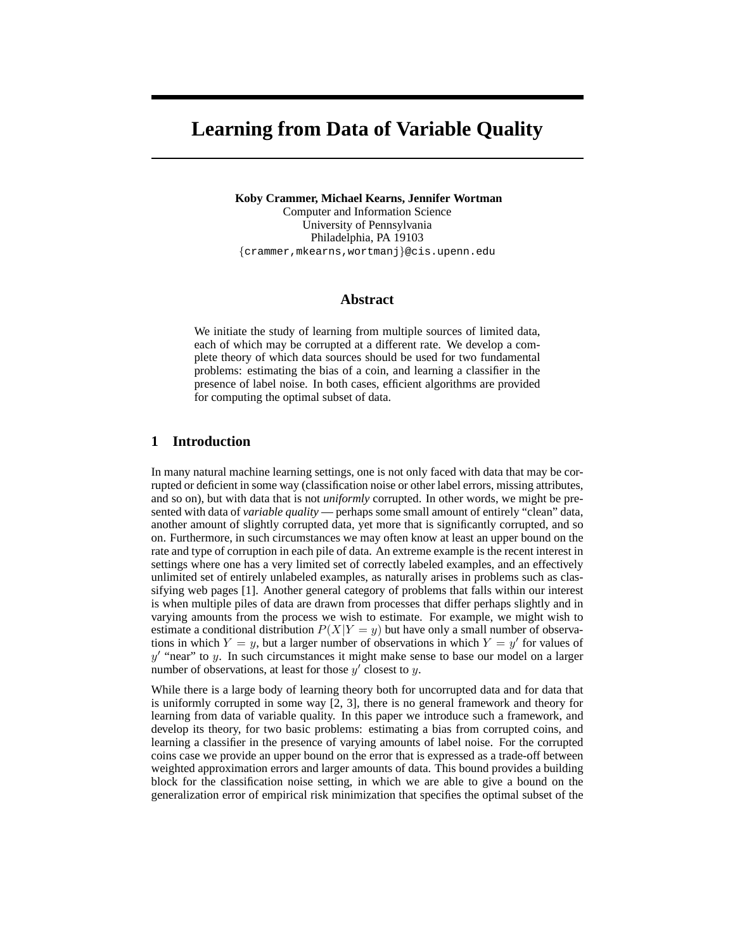# **Learning from Data of Variable Quality**

**Koby Crammer, Michael Kearns, Jennifer Wortman** Computer and Information Science University of Pennsylvania Philadelphia, PA 19103 {crammer,mkearns,wortmanj}@cis.upenn.edu

## **Abstract**

We initiate the study of learning from multiple sources of limited data, each of which may be corrupted at a different rate. We develop a complete theory of which data sources should be used for two fundamental problems: estimating the bias of a coin, and learning a classifier in the presence of label noise. In both cases, efficient algorithms are provided for computing the optimal subset of data.

## **1 Introduction**

In many natural machine learning settings, one is not only faced with data that may be corrupted or deficient in some way (classification noise or other label errors, missing attributes, and so on), but with data that is not *uniformly* corrupted. In other words, we might be presented with data of *variable quality* — perhaps some small amount of entirely "clean" data, another amount of slightly corrupted data, yet more that is significantly corrupted, and so on. Furthermore, in such circumstances we may often know at least an upper bound on the rate and type of corruption in each pile of data. An extreme example is the recent interest in settings where one has a very limited set of correctly labeled examples, and an effectively unlimited set of entirely unlabeled examples, as naturally arises in problems such as classifying web pages [1]. Another general category of problems that falls within our interest is when multiple piles of data are drawn from processes that differ perhaps slightly and in varying amounts from the process we wish to estimate. For example, we might wish to estimate a conditional distribution  $P(X|Y=y)$  but have only a small number of observations in which  $Y = y$ , but a larger number of observations in which  $Y = y'$  for values of  $y'$  "near" to y. In such circumstances it might make sense to base our model on a larger number of observations, at least for those  $y'$  closest to y.

While there is a large body of learning theory both for uncorrupted data and for data that is uniformly corrupted in some way [2, 3], there is no general framework and theory for learning from data of variable quality. In this paper we introduce such a framework, and develop its theory, for two basic problems: estimating a bias from corrupted coins, and learning a classifier in the presence of varying amounts of label noise. For the corrupted coins case we provide an upper bound on the error that is expressed as a trade-off between weighted approximation errors and larger amounts of data. This bound provides a building block for the classification noise setting, in which we are able to give a bound on the generalization error of empirical risk minimization that specifies the optimal subset of the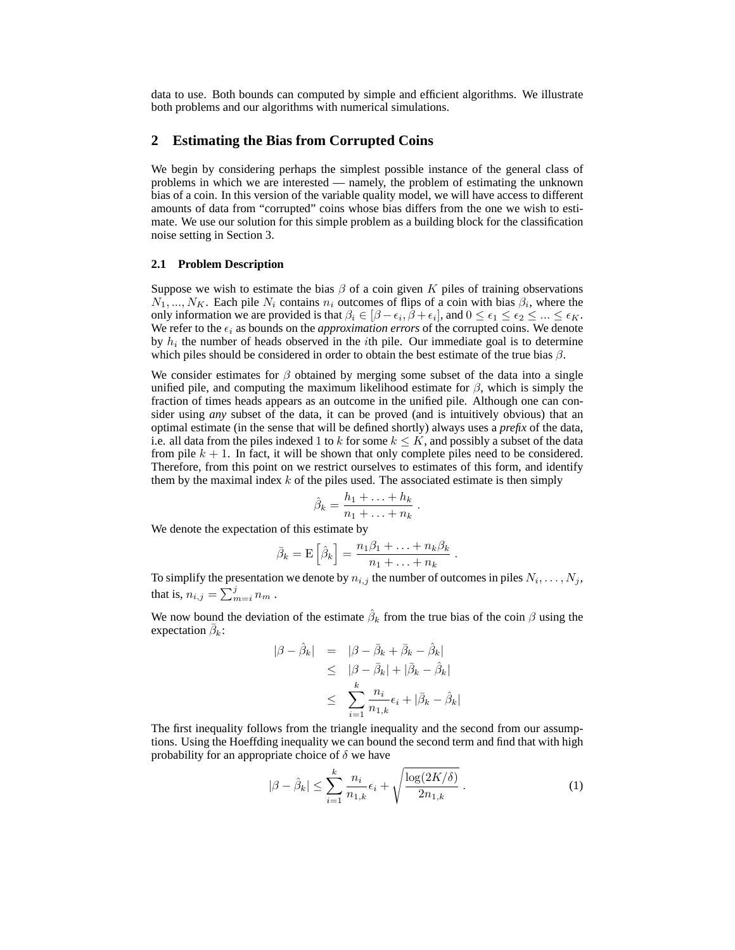data to use. Both bounds can computed by simple and efficient algorithms. We illustrate both problems and our algorithms with numerical simulations.

## **2 Estimating the Bias from Corrupted Coins**

We begin by considering perhaps the simplest possible instance of the general class of problems in which we are interested — namely, the problem of estimating the unknown bias of a coin. In this version of the variable quality model, we will have access to different amounts of data from "corrupted" coins whose bias differs from the one we wish to estimate. We use our solution for this simple problem as a building block for the classification noise setting in Section 3.

## **2.1 Problem Description**

Suppose we wish to estimate the bias  $\beta$  of a coin given K piles of training observations  $N_1, ..., N_K$ . Each pile  $N_i$  contains  $n_i$  outcomes of flips of a coin with bias  $\beta_i$ , where the only information we are provided is that  $\beta_i \in [\beta - \epsilon_i, \beta + \epsilon_i]$ , and  $0 \le \epsilon_1 \le \epsilon_2 \le ... \le \epsilon_K$ . We refer to the  $\epsilon_i$  as bounds on the *approximation errors* of the corrupted coins. We denote by  $h_i$  the number of heads observed in the *i*th pile. Our immediate goal is to determine which piles should be considered in order to obtain the best estimate of the true bias  $\beta$ .

We consider estimates for  $\beta$  obtained by merging some subset of the data into a single unified pile, and computing the maximum likelihood estimate for  $\beta$ , which is simply the fraction of times heads appears as an outcome in the unified pile. Although one can consider using *any* subset of the data, it can be proved (and is intuitively obvious) that an optimal estimate (in the sense that will be defined shortly) always uses a *prefix* of the data, i.e. all data from the piles indexed 1 to k for some  $k \leq K$ , and possibly a subset of the data from pile  $k + 1$ . In fact, it will be shown that only complete piles need to be considered. Therefore, from this point on we restrict ourselves to estimates of this form, and identify them by the maximal index  $k$  of the piles used. The associated estimate is then simply

$$
\hat{\beta}_k = \frac{h_1 + \ldots + h_k}{n_1 + \ldots + n_k} \ .
$$

We denote the expectation of this estimate by

$$
\bar{\beta}_k = \mathcal{E}\left[\hat{\beta}_k\right] = \frac{n_1\beta_1 + \ldots + n_k\beta_k}{n_1 + \ldots + n_k}
$$

To simplify the presentation we denote by  $n_{i,j}$  the number of outcomes in piles  $N_i, \ldots, N_j$ , that is,  $n_{i,j} = \sum_{m=i}^{j} n_m$  .

We now bound the deviation of the estimate  $\hat{\beta}_k$  from the true bias of the coin  $\beta$  using the expectation  $\bar{\beta}_k$ :

$$
\begin{array}{rcl} |\beta - \hat{\beta}_k| & = & |\beta - \bar{\beta}_k + \bar{\beta}_k - \hat{\beta}_k| \\ & \leq & |\beta - \bar{\beta}_k| + |\bar{\beta}_k - \hat{\beta}_k| \\ & \leq & \sum_{i=1}^k \frac{n_i}{n_{1,k}} \epsilon_i + |\bar{\beta}_k - \hat{\beta}_k| \end{array}
$$

The first inequality follows from the triangle inequality and the second from our assumptions. Using the Hoeffding inequality we can bound the second term and find that with high probability for an appropriate choice of  $\delta$  we have

$$
|\beta - \hat{\beta}_k| \le \sum_{i=1}^k \frac{n_i}{n_{1,k}} \epsilon_i + \sqrt{\frac{\log(2K/\delta)}{2n_{1,k}}}.
$$
 (1)

.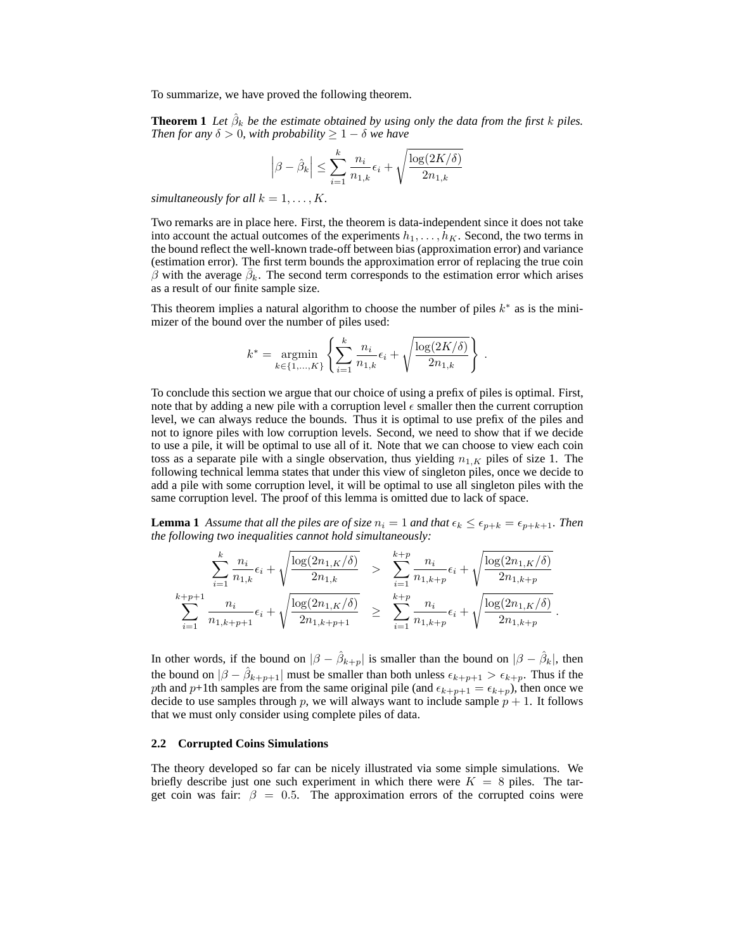To summarize, we have proved the following theorem.

**Theorem 1** Let  $\hat{\beta}_k$  be the estimate obtained by using only the data from the first k piles. *Then for any*  $\delta > 0$ *, with probability*  $\geq 1 - \delta$  *we have* 

$$
\left|\beta - \hat{\beta}_k\right| \le \sum_{i=1}^k \frac{n_i}{n_{1,k}} \epsilon_i + \sqrt{\frac{\log(2K/\delta)}{2n_{1,k}}}
$$

*simultaneously for all*  $k = 1, \ldots, K$ .

Two remarks are in place here. First, the theorem is data-independent since it does not take into account the actual outcomes of the experiments  $h_1, \ldots, h_K$ . Second, the two terms in the bound reflect the well-known trade-off between bias (approximation error) and variance (estimation error). The first term bounds the approximation error of replacing the true coin  $\hat{\beta}$  with the average  $\bar{\beta}_k$ . The second term corresponds to the estimation error which arises as a result of our finite sample size.

This theorem implies a natural algorithm to choose the number of piles  $k^*$  as is the minimizer of the bound over the number of piles used:

$$
k^* = \underset{k \in \{1, ..., K\}}{\text{argmin}} \left\{ \sum_{i=1}^k \frac{n_i}{n_{1,k}} \epsilon_i + \sqrt{\frac{\log(2K/\delta)}{2n_{1,k}}} \right\}.
$$

.

To conclude this section we argue that our choice of using a prefix of piles is optimal. First, note that by adding a new pile with a corruption level  $\epsilon$  smaller then the current corruption level, we can always reduce the bounds. Thus it is optimal to use prefix of the piles and not to ignore piles with low corruption levels. Second, we need to show that if we decide to use a pile, it will be optimal to use all of it. Note that we can choose to view each coin toss as a separate pile with a single observation, thus yielding  $n_{1,K}$  piles of size 1. The following technical lemma states that under this view of singleton piles, once we decide to add a pile with some corruption level, it will be optimal to use all singleton piles with the same corruption level. The proof of this lemma is omitted due to lack of space.

**Lemma 1** *Assume that all the piles are of size*  $n_i = 1$  *and that*  $\epsilon_k \leq \epsilon_{p+k} = \epsilon_{p+k+1}$ *. Then the following two inequalities cannot hold simultaneously:*

$$
\sum_{i=1}^{k} \frac{n_i}{n_{1,k}} \epsilon_i + \sqrt{\frac{\log(2n_{1,K}/\delta)}{2n_{1,k}}} > \sum_{i=1}^{k+p} \frac{n_i}{n_{1,k+p}} \epsilon_i + \sqrt{\frac{\log(2n_{1,K}/\delta)}{2n_{1,k+p}}} \n\sum_{i=1}^{k+p+1} \frac{n_i}{n_{1,k+p+1}} \epsilon_i + \sqrt{\frac{\log(2n_{1,K}/\delta)}{2n_{1,k+p+1}}} \geq \sum_{i=1}^{k+p} \frac{n_i}{n_{1,k+p}} \epsilon_i + \sqrt{\frac{\log(2n_{1,K}/\delta)}{2n_{1,k+p}}}.
$$

In other words, if the bound on  $|\beta - \hat{\beta}_{k+p}|$  is smaller than the bound on  $|\beta - \hat{\beta}_{k}|$ , then the bound on  $|\beta - \hat{\beta}_{k+p+1}|$  must be smaller than both unless  $\epsilon_{k+p+1} > \epsilon_{k+p}$ . Thus if the pth and p+1th samples are from the same original pile (and  $\epsilon_{k+p+1} = \epsilon_{k+p}$ ), then once we decide to use samples through p, we will always want to include sample  $p + 1$ . It follows that we must only consider using complete piles of data.

#### **2.2 Corrupted Coins Simulations**

The theory developed so far can be nicely illustrated via some simple simulations. We briefly describe just one such experiment in which there were  $K = 8$  piles. The target coin was fair:  $\beta = 0.5$ . The approximation errors of the corrupted coins were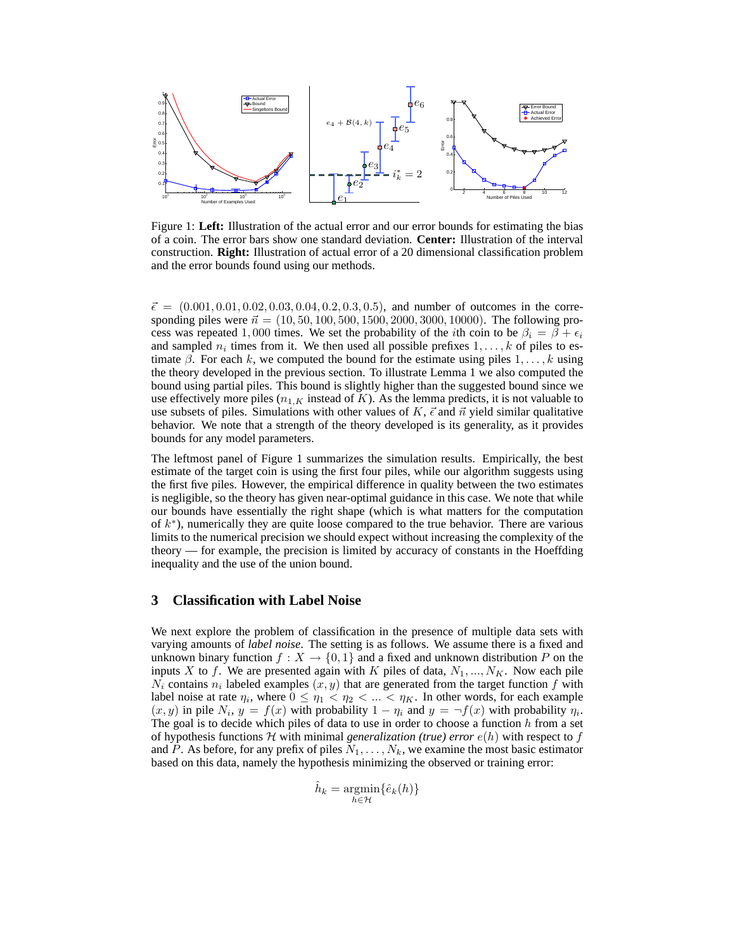

Figure 1: **Left:** Illustration of the actual error and our error bounds for estimating the bias of a coin. The error bars show one standard deviation. **Center:** Illustration of the interval construction. **Right:** Illustration of actual error of a 20 dimensional classification problem and the error bounds found using our methods.

 $\vec{\epsilon} = (0.001, 0.01, 0.02, 0.03, 0.04, 0.2, 0.3, 0.5)$ , and number of outcomes in the corresponding piles were  $\vec{n} = (10, 50, 100, 500, 1500, 2000, 3000, 10000)$ . The following process was repeated 1,000 times. We set the probability of the *i*th coin to be  $\beta_i = \beta + \epsilon_i$ and sampled  $n_i$  times from it. We then used all possible prefixes  $1, \ldots, k$  of piles to estimate  $\beta$ . For each k, we computed the bound for the estimate using piles  $1, \ldots, k$  using the theory developed in the previous section. To illustrate Lemma 1 we also computed the bound using partial piles. This bound is slightly higher than the suggested bound since we use effectively more piles  $(n_{1,K}$  instead of K). As the lemma predicts, it is not valuable to use subsets of piles. Simulations with other values of K,  $\vec{\epsilon}$  and  $\vec{n}$  yield similar qualitative behavior. We note that a strength of the theory developed is its generality, as it provides bounds for any model parameters.

The leftmost panel of Figure 1 summarizes the simulation results. Empirically, the best estimate of the target coin is using the first four piles, while our algorithm suggests using the first five piles. However, the empirical difference in quality between the two estimates is negligible, so the theory has given near-optimal guidance in this case. We note that while our bounds have essentially the right shape (which is what matters for the computation of  $k^*$ ), numerically they are quite loose compared to the true behavior. There are various limits to the numerical precision we should expect without increasing the complexity of the theory — for example, the precision is limited by accuracy of constants in the Hoeffding inequality and the use of the union bound.

## **3 Classification with Label Noise**

We next explore the problem of classification in the presence of multiple data sets with varying amounts of *label noise*. The setting is as follows. We assume there is a fixed and unknown binary function  $f: X \to \{0,1\}$  and a fixed and unknown distribution P on the inputs X to f. We are presented again with K piles of data,  $N_1, ..., N_K$ . Now each pile  $N_i$  contains  $n_i$  labeled examples  $(x, y)$  that are generated from the target function f with label noise at rate  $\eta_i$ , where  $0 \leq \eta_1 < \eta_2 < \ldots < \eta_K$ . In other words, for each example  $(x, y)$  in pile  $N_i$ ,  $y = f(x)$  with probability  $1 - \eta_i$  and  $y = \neg f(x)$  with probability  $\eta_i$ . The goal is to decide which piles of data to use in order to choose a function  $h$  from a set of hypothesis functions  $H$  with minimal *generalization (true) error*  $e(h)$  with respect to f and P. As before, for any prefix of piles  $N_1, \ldots, N_k$ , we examine the most basic estimator based on this data, namely the hypothesis minimizing the observed or training error:

$$
\hat{h}_k = \underset{h \in \mathcal{H}}{\operatorname{argmin}} \{ \hat{e}_k(h) \}
$$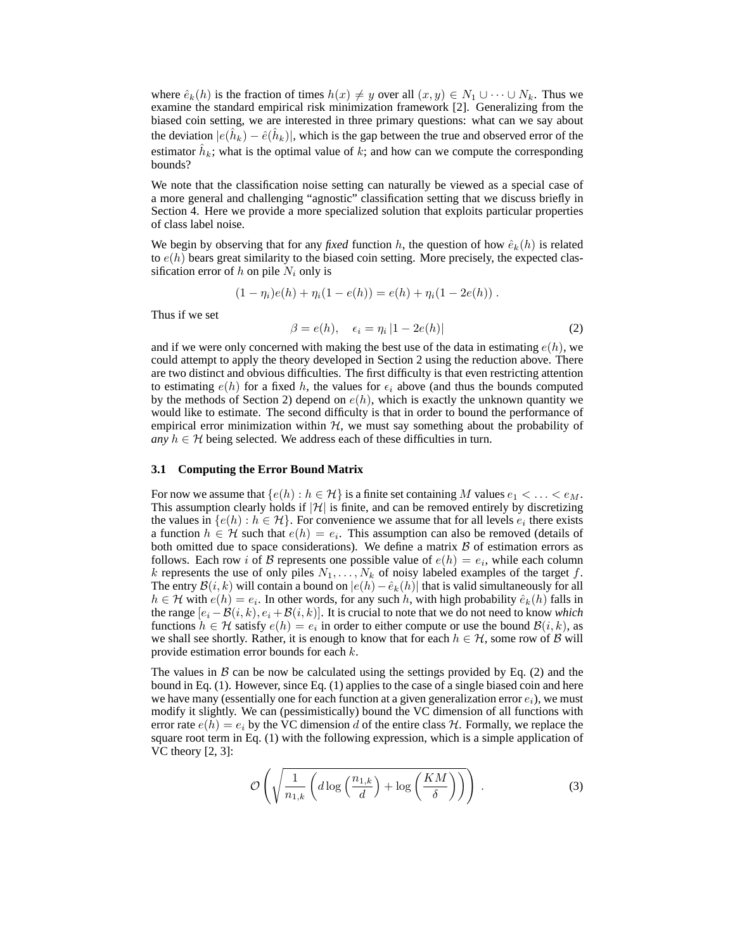where  $\hat{e}_k(h)$  is the fraction of times  $h(x) \neq y$  over all  $(x, y) \in N_1 \cup \cdots \cup N_k$ . Thus we examine the standard empirical risk minimization framework [2]. Generalizing from the biased coin setting, we are interested in three primary questions: what can we say about the deviation  $|e(\hat{h}_k) - \hat{e}(\hat{h}_k)|$ , which is the gap between the true and observed error of the estimator  $\hat{h}_k$ ; what is the optimal value of k; and how can we compute the corresponding bounds?

We note that the classification noise setting can naturally be viewed as a special case of a more general and challenging "agnostic" classification setting that we discuss briefly in Section 4. Here we provide a more specialized solution that exploits particular properties of class label noise.

We begin by observing that for any *fixed* function h, the question of how  $\hat{e}_k(h)$  is related to  $e(h)$  bears great similarity to the biased coin setting. More precisely, the expected classification error of  $h$  on pile  $N_i$  only is

$$
(1 - \eta_i)e(h) + \eta_i(1 - e(h)) = e(h) + \eta_i(1 - 2e(h)).
$$

Thus if we set

$$
\beta = e(h), \quad \epsilon_i = \eta_i |1 - 2e(h)| \tag{2}
$$

and if we were only concerned with making the best use of the data in estimating  $e(h)$ , we could attempt to apply the theory developed in Section 2 using the reduction above. There are two distinct and obvious difficulties. The first difficulty is that even restricting attention to estimating  $e(h)$  for a fixed h, the values for  $\epsilon_i$  above (and thus the bounds computed by the methods of Section 2) depend on  $e(h)$ , which is exactly the unknown quantity we would like to estimate. The second difficulty is that in order to bound the performance of empirical error minimization within  $H$ , we must say something about the probability of *any*  $h \in H$  being selected. We address each of these difficulties in turn.

#### **3.1 Computing the Error Bound Matrix**

For now we assume that  $\{e(h) : h \in \mathcal{H}\}$  is a finite set containing M values  $e_1 < \ldots < e_M$ . This assumption clearly holds if  $|\mathcal{H}|$  is finite, and can be removed entirely by discretizing the values in  $\{e(h) : h \in \mathcal{H}\}$ . For convenience we assume that for all levels  $e_i$  there exists a function  $h \in \mathcal{H}$  such that  $e(h) = e_i$ . This assumption can also be removed (details of both omitted due to space considerations). We define a matrix  $\beta$  of estimation errors as follows. Each row *i* of *B* represents one possible value of  $e(h) = e_i$ , while each column k represents the use of only piles  $N_1, \ldots, N_k$  of noisy labeled examples of the target f. The entry  $\mathcal{B}(i,k)$  will contain a bound on  $|e(h)-\hat{e}_k(h)|$  that is valid simultaneously for all  $h \in \mathcal{H}$  with  $e(h) = e_i$ . In other words, for any such h, with high probability  $\hat{e}_k(h)$  falls in the range  $[e_i - B(i, k), e_i + B(i, k)]$ . It is crucial to note that we do not need to know *which* functions  $h \in \mathcal{H}$  satisfy  $e(h) = e_i$  in order to either compute or use the bound  $\mathcal{B}(i, k)$ , as we shall see shortly. Rather, it is enough to know that for each  $h \in \mathcal{H}$ , some row of B will provide estimation error bounds for each k.

The values in  $\beta$  can be now be calculated using the settings provided by Eq. (2) and the bound in Eq. (1). However, since Eq. (1) applies to the case of a single biased coin and here we have many (essentially one for each function at a given generalization error  $e_i$ ), we must modify it slightly. We can (pessimistically) bound the VC dimension of all functions with error rate  $e(h) = e_i$  by the VC dimension d of the entire class H. Formally, we replace the square root term in Eq. (1) with the following expression, which is a simple application of VC theory [2, 3]:

$$
\mathcal{O}\left(\sqrt{\frac{1}{n_{1,k}}\left(d\log\left(\frac{n_{1,k}}{d}\right)+\log\left(\frac{KM}{\delta}\right)\right)}\right). \tag{3}
$$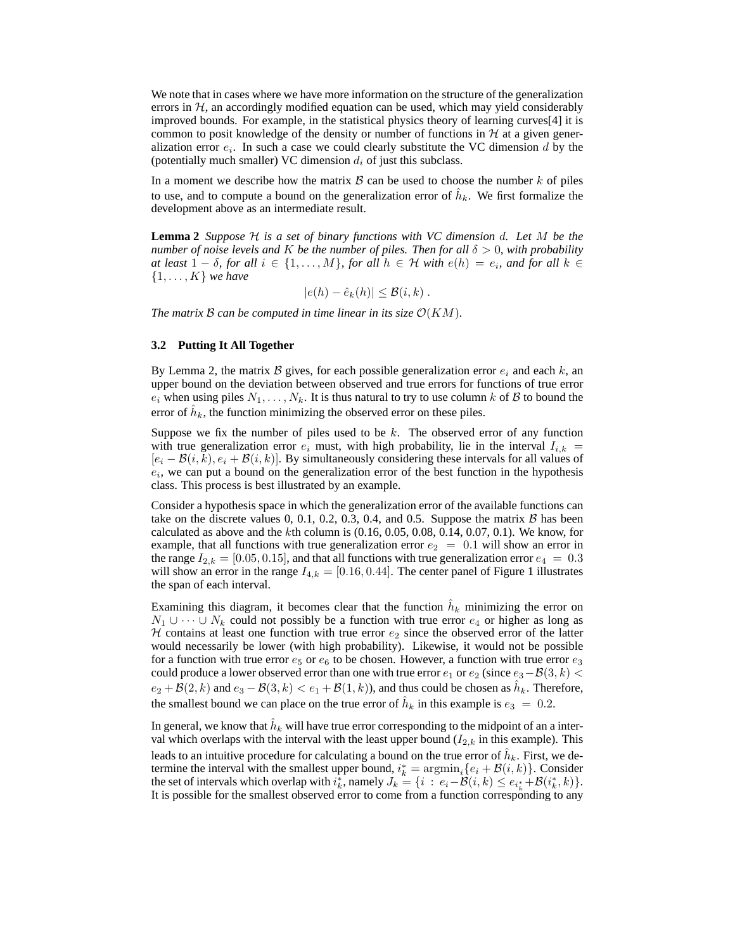We note that in cases where we have more information on the structure of the generalization errors in  $H$ , an accordingly modified equation can be used, which may yield considerably improved bounds. For example, in the statistical physics theory of learning curves[4] it is common to posit knowledge of the density or number of functions in  $H$  at a given generalization error  $e_i$ . In such a case we could clearly substitute the VC dimension d by the (potentially much smaller) VC dimension  $d_i$  of just this subclass.

In a moment we describe how the matrix  $\beta$  can be used to choose the number k of piles to use, and to compute a bound on the generalization error of  $\hat{h}_k$ . We first formalize the development above as an intermediate result.

**Lemma 2** *Suppose* H *is a set of binary functions with VC dimension* d*. Let* M *be the number of noise levels and* K *be the number of piles. Then for all*  $\delta > 0$ *, with probability at least*  $1 - \delta$ *, for all*  $i \in \{1, \ldots, M\}$ *, for all*  $h \in H$  *with*  $e(h) = e_i$ *, and for all*  $k \in$ {1, . . . , K} *we have*

$$
|e(h) - \hat{e}_k(h)| \leq \mathcal{B}(i,k) .
$$

*The matrix* B can be computed in time linear in its size  $\mathcal{O}(KM)$ *.* 

## **3.2 Putting It All Together**

By Lemma 2, the matrix B gives, for each possible generalization error  $e_i$  and each k, an upper bound on the deviation between observed and true errors for functions of true error  $e_i$  when using piles  $N_1, \ldots, N_k$ . It is thus natural to try to use column k of B to bound the error of  $\hat{h}_k$ , the function minimizing the observed error on these piles.

Suppose we fix the number of piles used to be  $k$ . The observed error of any function with true generalization error  $e_i$  must, with high probability, lie in the interval  $I_{i,k}$  $[e_i - B(i, k), e_i + B(i, k)]$ . By simultaneously considering these intervals for all values of  $e_i$ , we can put a bound on the generalization error of the best function in the hypothesis class. This process is best illustrated by an example.

Consider a hypothesis space in which the generalization error of the available functions can take on the discrete values  $0, 0.1, 0.2, 0.3, 0.4,$  and 0.5. Suppose the matrix  $\beta$  has been calculated as above and the kth column is  $(0.16, 0.05, 0.08, 0.14, 0.07, 0.1)$ . We know, for example, that all functions with true generalization error  $e_2 = 0.1$  will show an error in the range  $I_{2,k} = [0.05, 0.15]$ , and that all functions with true generalization error  $e_4 = 0.3$ will show an error in the range  $I_{4,k} = [0.16, 0.44]$ . The center panel of Figure 1 illustrates the span of each interval.

Examining this diagram, it becomes clear that the function  $\hat{h}_k$  minimizing the error on  $N_1 \cup \cdots \cup N_k$  could not possibly be a function with true error  $e_4$  or higher as long as  $H$  contains at least one function with true error  $e_2$  since the observed error of the latter would necessarily be lower (with high probability). Likewise, it would not be possible for a function with true error  $e_5$  or  $e_6$  to be chosen. However, a function with true error  $e_3$ could produce a lower observed error than one with true error  $e_1$  or  $e_2$  (since  $e_3-\mathcal{B}(3, k)$ )  $e_2 + \mathcal{B}(2, k)$  and  $e_3 - \mathcal{B}(3, k) < e_1 + \mathcal{B}(1, k)$ ), and thus could be chosen as  $\hat{h}_k$ . Therefore, the smallest bound we can place on the true error of  $\hat{h}_k$  in this example is  $e_3 = 0.2$ .

In general, we know that  $\hat{h}_k$  will have true error corresponding to the midpoint of an a interval which overlaps with the interval with the least upper bound  $(I_{2,k}$  in this example). This leads to an intuitive procedure for calculating a bound on the true error of  $\hat{h}_k$ . First, we determine the interval with the smallest upper bound,  $i_k^* = \operatorname{argmin}_i \{e_i + \mathcal{B}(i, k)\}\)$ . Consider the set of intervals which overlap with  $i_k^*$ , namely  $J_k = \{i : e_i - \mathcal{B}(i,k) \leq e_{i_k^*} + \mathcal{B}(i_k^*,k)\}.$ It is possible for the smallest observed error to come from a function corresponding to any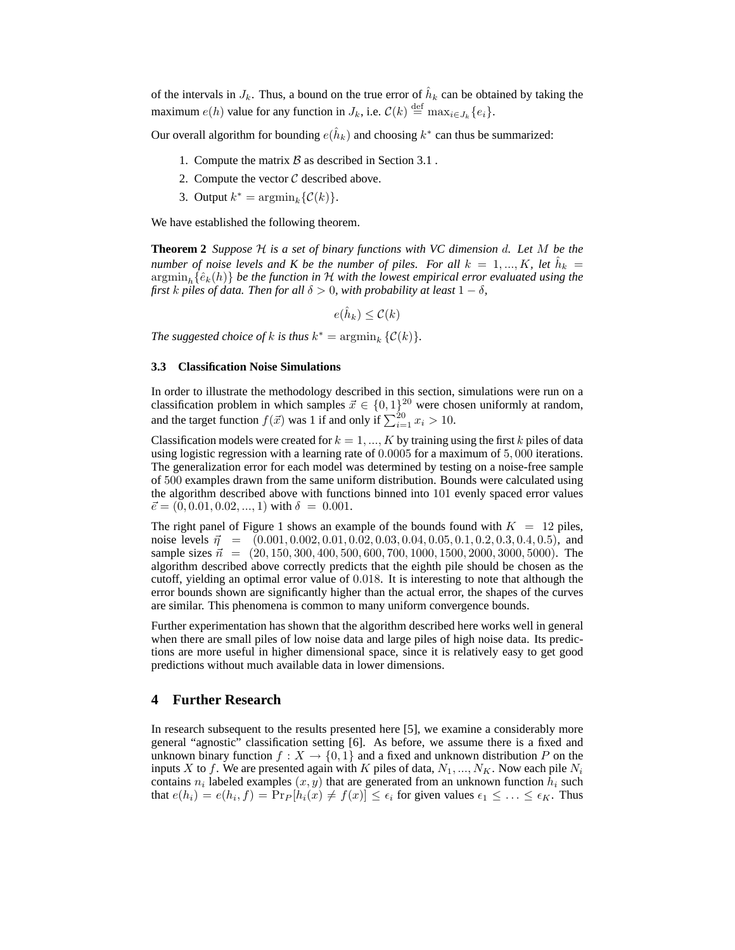of the intervals in  $J_k$ . Thus, a bound on the true error of  $\hat{h}_k$  can be obtained by taking the maximum  $e(h)$  value for any function in  $J_k$ , i.e.  $\mathcal{C}(k) \stackrel{\text{def}}{=} \max_{i \in J_k} \{e_i\}.$ 

Our overall algorithm for bounding  $e(\hat{h}_k)$  and choosing  $k^*$  can thus be summarized:

- 1. Compute the matrix  $\beta$  as described in Section 3.1.
- 2. Compute the vector  $C$  described above.
- 3. Output  $k^* = \operatorname{argmin}_k {\mathcal C(k)}$ .

We have established the following theorem.

**Theorem 2** *Suppose* H *is a set of binary functions with VC dimension* d*. Let* M *be the number of noise levels and K be the number of piles. For all*  $k = 1, ..., K$ , *let*  $\hat{h}_k =$  $\operatorname{argmin}_h {\hat{e}_k(h)}$  *be the function in* H with the lowest empirical error evaluated using the *first* k piles of data. Then for all  $\delta > 0$ , with probability at least  $1 - \delta$ ,

 $e(\hat{h}_k) \leq C(k)$ 

*The suggested choice of*  $k$  *is thus*  $k^* = \operatorname{argmin}_k {\mathcal{C}}(k)$ .

#### **3.3 Classification Noise Simulations**

In order to illustrate the methodology described in this section, simulations were run on a classification problem in which samples  $\vec{x} \in \{0, 1\}^{20}$  were chosen uniformly at random, and the target function  $f(\vec{x})$  was 1 if and only if  $\sum_{i=1}^{20} x_i > 10$ .

Classification models were created for  $k = 1, ..., K$  by training using the first k piles of data using logistic regression with a learning rate of 0.0005 for a maximum of 5, 000 iterations. The generalization error for each model was determined by testing on a noise-free sample of 500 examples drawn from the same uniform distribution. Bounds were calculated using the algorithm described above with functions binned into 101 evenly spaced error values  $\vec{e} = (0, 0.01, 0.02, ..., 1)$  with  $\delta = 0.001$ .

The right panel of Figure 1 shows an example of the bounds found with  $K = 12$  piles, noise levels  $\vec{\eta}$  = (0.001, 0.002, 0.01, 0.02, 0.03, 0.04, 0.05, 0.1, 0.2, 0.3, 0.4, 0.5), and sample sizes  $\vec{n} = (20, 150, 300, 400, 500, 600, 700, 1000, 1500, 2000, 3000, 5000)$ . The algorithm described above correctly predicts that the eighth pile should be chosen as the cutoff, yielding an optimal error value of 0.018. It is interesting to note that although the error bounds shown are significantly higher than the actual error, the shapes of the curves are similar. This phenomena is common to many uniform convergence bounds.

Further experimentation has shown that the algorithm described here works well in general when there are small piles of low noise data and large piles of high noise data. Its predictions are more useful in higher dimensional space, since it is relatively easy to get good predictions without much available data in lower dimensions.

## **4 Further Research**

In research subsequent to the results presented here [5], we examine a considerably more general "agnostic" classification setting [6]. As before, we assume there is a fixed and unknown binary function  $f: X \to \{0, 1\}$  and a fixed and unknown distribution P on the inputs X to f. We are presented again with K piles of data,  $N_1, ..., N_K$ . Now each pile  $N_i$ contains  $n_i$  labeled examples  $(x, y)$  that are generated from an unknown function  $h_i$  such that  $e(h_i) = e(h_i, f) = Pr_P[h_i(x) \neq f(x)] \leq \epsilon_i$  for given values  $\epsilon_1 \leq \ldots \leq \epsilon_K$ . Thus